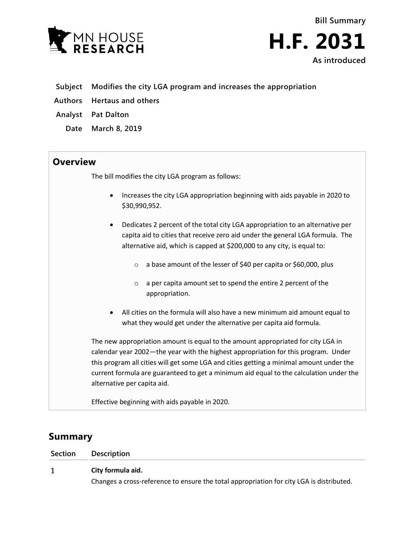

**Bill Summary H.F. 2031 As introduced**

- **Subject Modifies the city LGA program and increases the appropriation**
- **Authors Hertaus and others**
- **Analyst Pat Dalton**
	- **Date March 8, 2019**

## **Overview**

The bill modifies the city LGA program as follows:

- Increases the city LGA appropriation beginning with aids payable in 2020 to \$30,990,952.
- Dedicates 2 percent of the total city LGA appropriation to an alternative per capita aid to cities that receive zero aid under the general LGA formula. The alternative aid, which is capped at \$200,000 to any city, is equal to:
	- o a base amount of the lesser of \$40 per capita or \$60,000, plus
	- o a per capita amount set to spend the entire 2 percent of the appropriation.
- All cities on the formula will also have a new minimum aid amount equal to what they would get under the alternative per capita aid formula.

The new appropriation amount is equal to the amount appropriated for city LGA in calendar year 2002—the year with the highest appropriation for this program. Under this program all cities will get some LGA and cities getting a minimal amount under the current formula are guaranteed to get a minimum aid equal to the calculation under the alternative per capita aid.

Effective beginning with aids payable in 2020.

# **Summary**

| Section | <b>Description</b>                                                                       |
|---------|------------------------------------------------------------------------------------------|
|         | City formula aid.                                                                        |
|         | Changes a cross-reference to ensure the total appropriation for city LGA is distributed. |